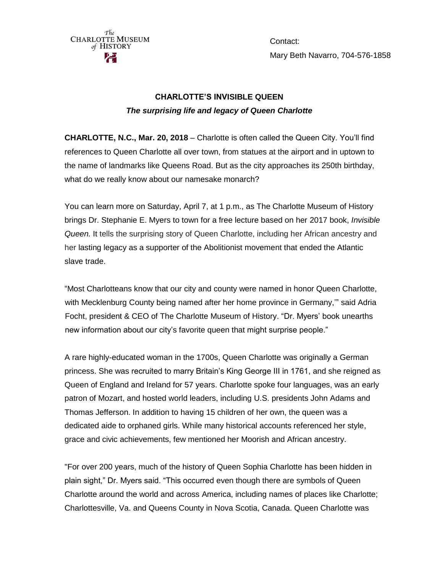

Contact: Mary Beth Navarro, 704-576-1858

## **CHARLOTTE'S INVISIBLE QUEEN** *The surprising life and legacy of Queen Charlotte*

**CHARLOTTE, N.C., Mar. 20, 2018** – Charlotte is often called the Queen City. You'll find references to Queen Charlotte all over town, from statues at the airport and in uptown to the name of landmarks like Queens Road. But as the city approaches its 250th birthday, what do we really know about our namesake monarch?

You can learn more on Saturday, April 7, at 1 p.m., as The Charlotte Museum of History brings Dr. Stephanie E. Myers to town for a free lecture based on her 2017 book, *Invisible Queen.* It tells the surprising story of Queen Charlotte, including her African ancestry and her lasting legacy as a supporter of the Abolitionist movement that ended the Atlantic slave trade.

"Most Charlotteans know that our city and county were named in honor Queen Charlotte, with Mecklenburg County being named after her home province in Germany,'" said Adria Focht, president & CEO of The Charlotte Museum of History. "Dr. Myers' book unearths new information about our city's favorite queen that might surprise people."

A rare highly-educated woman in the 1700s, Queen Charlotte was originally a German princess. She was recruited to marry Britain's King George III in 1761, and she reigned as Queen of England and Ireland for 57 years. Charlotte spoke four languages, was an early patron of Mozart, and hosted world leaders, including U.S. presidents John Adams and Thomas Jefferson. In addition to having 15 children of her own, the queen was a dedicated aide to orphaned girls. While many historical accounts referenced her style, grace and civic achievements, few mentioned her Moorish and African ancestry.

"For over 200 years, much of the history of Queen Sophia Charlotte has been hidden in plain sight," Dr. Myers said. "This occurred even though there are symbols of Queen Charlotte around the world and across America, including names of places like Charlotte; Charlottesville, Va. and Queens County in Nova Scotia, Canada. Queen Charlotte was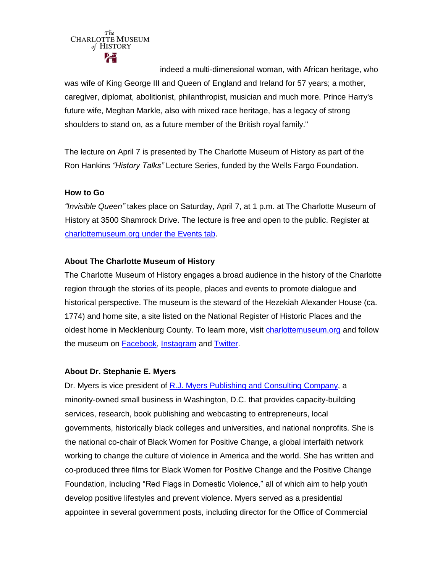

indeed a multi-dimensional woman, with African heritage, who was wife of King George III and Queen of England and Ireland for 57 years; a mother, caregiver, diplomat, abolitionist, philanthropist, musician and much more. Prince Harry's future wife, Meghan Markle, also with mixed race heritage, has a legacy of strong shoulders to stand on, as a future member of the British royal family."

The lecture on April 7 is presented by The Charlotte Museum of History as part of the Ron Hankins *"History Talks"* Lecture Series, funded by the Wells Fargo Foundation.

## **How to Go**

*"Invisible Queen"* takes place on Saturday, April 7, at 1 p.m. at The Charlotte Museum of History at 3500 Shamrock Drive. The lecture is free and open to the public. Register at [charlottemuseum.org under the Events tab.](http://charlottemuseum.org/tc-events/)

## **About The Charlotte Museum of History**

The Charlotte Museum of History engages a broad audience in the history of the Charlotte region through the stories of its people, places and events to promote dialogue and historical perspective. The museum is the steward of the Hezekiah Alexander House (ca. 1774) and home site, a site listed on the National Register of Historic Places and the oldest home in Mecklenburg County. To learn more, visit [charlottemuseum.org](http://charlottemuseum.org/) and follow the museum on [Facebook,](https://www.facebook.com/charlottemuseumofhistory/) [Instagram](https://www.instagram.com/charlottemuseumofhistory/) and [Twitter.](https://twitter.com/CLThistory)

## **About Dr. Stephanie E. Myers**

Dr. Myers is vice president of [R.J. Myers Publishing and Consulting Company,](http://www.myerspublishing.com/index.html) a minority-owned small business in Washington, D.C. that provides capacity-building services, research, book publishing and webcasting to entrepreneurs, local governments, historically black colleges and universities, and national nonprofits. She is the national co-chair of Black Women for Positive Change, a global interfaith network working to change the culture of violence in America and the world. She has written and co-produced three films for Black Women for Positive Change and the Positive Change Foundation, including "Red Flags in Domestic Violence," all of which aim to help youth develop positive lifestyles and prevent violence. Myers served as a presidential appointee in several government posts, including director for the Office of Commercial